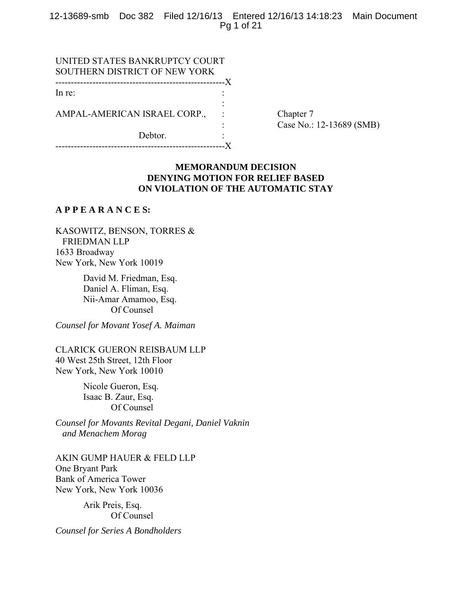12-13689-smb Doc 382 Filed 12/16/13 Entered 12/16/13 14:18:23 Main Document Pg 1 of 21

| UNITED STATES BANKRUPTCY COURT |  |
|--------------------------------|--|
| SOUTHERN DISTRICT OF NEW YORK  |  |
|                                |  |
| In re:                         |  |
|                                |  |
| AMPAL-AMERICAN ISRAEL CORP.,   |  |
|                                |  |
| Debtor.                        |  |

-------------------------------------------------------X

Chapter 7 : Case No.: 12-13689 (SMB)

# **MEMORANDUM DECISION DENYING MOTION FOR RELIEF BASED ON VIOLATION OF THE AUTOMATIC STAY**

## **A P P E A R A N C E S:**

KASOWITZ, BENSON, TORRES & FRIEDMAN LLP 1633 Broadway New York, New York 10019

> David M. Friedman, Esq. Daniel A. Fliman, Esq. Nii-Amar Amamoo, Esq. Of Counsel

*Counsel for Movant Yosef A. Maiman* 

CLARICK GUERON REISBAUM LLP 40 West 25th Street, 12th Floor New York, New York 10010

> Nicole Gueron, Esq. Isaac B. Zaur, Esq. Of Counsel

*Counsel for Movants Revital Degani, Daniel Vaknin and Menachem Morag*

AKIN GUMP HAUER & FELD LLP One Bryant Park Bank of America Tower New York, New York 10036

> Arik Preis, Esq. Of Counsel

*Counsel for Series A Bondholders*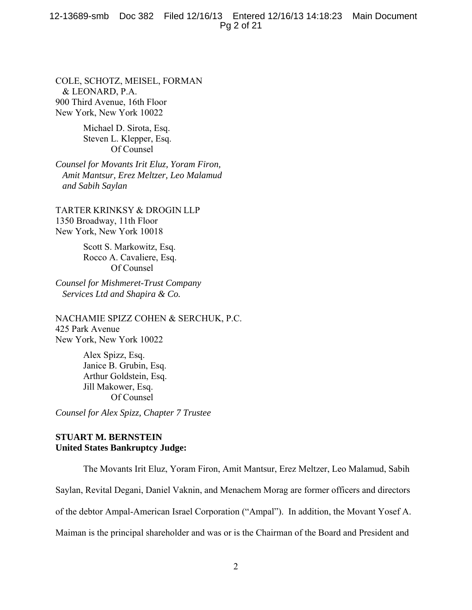#### 12-13689-smb Doc 382 Filed 12/16/13 Entered 12/16/13 14:18:23 Main Document Pg 2 of 21

COLE, SCHOTZ, MEISEL, FORMAN & LEONARD, P.A. 900 Third Avenue, 16th Floor New York, New York 10022

> Michael D. Sirota, Esq. Steven L. Klepper, Esq. Of Counsel

*Counsel for Movants Irit Eluz, Yoram Firon, Amit Mantsur, Erez Meltzer, Leo Malamud and Sabih Saylan* 

TARTER KRINKSY & DROGIN LLP 1350 Broadway, 11th Floor New York, New York 10018

> Scott S. Markowitz, Esq. Rocco A. Cavaliere, Esq. Of Counsel

*Counsel for Mishmeret-Trust Company Services Ltd and Shapira & Co.* 

NACHAMIE SPIZZ COHEN & SERCHUK, P.C. 425 Park Avenue New York, New York 10022

> Alex Spizz, Esq. Janice B. Grubin, Esq. Arthur Goldstein, Esq. Jill Makower, Esq. Of Counsel

*Counsel for Alex Spizz, Chapter 7 Trustee*

# **STUART M. BERNSTEIN United States Bankruptcy Judge:**

The Movants Irit Eluz, Yoram Firon, Amit Mantsur, Erez Meltzer, Leo Malamud, Sabih Saylan, Revital Degani, Daniel Vaknin, and Menachem Morag are former officers and directors of the debtor Ampal-American Israel Corporation ("Ampal"). In addition, the Movant Yosef A. Maiman is the principal shareholder and was or is the Chairman of the Board and President and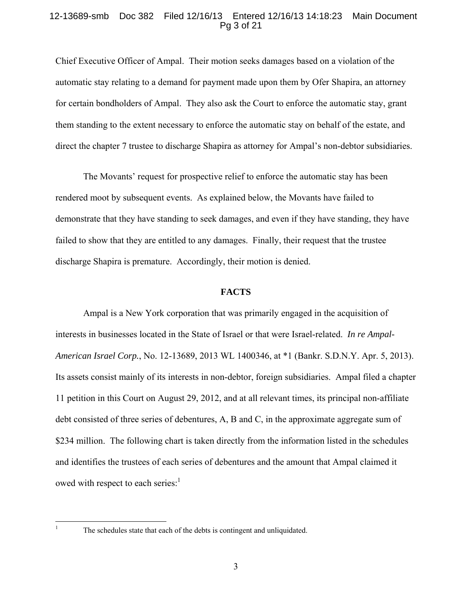### 12-13689-smb Doc 382 Filed 12/16/13 Entered 12/16/13 14:18:23 Main Document Pg 3 of 21

Chief Executive Officer of Ampal. Their motion seeks damages based on a violation of the automatic stay relating to a demand for payment made upon them by Ofer Shapira, an attorney for certain bondholders of Ampal. They also ask the Court to enforce the automatic stay, grant them standing to the extent necessary to enforce the automatic stay on behalf of the estate, and direct the chapter 7 trustee to discharge Shapira as attorney for Ampal's non-debtor subsidiaries.

 The Movants' request for prospective relief to enforce the automatic stay has been rendered moot by subsequent events. As explained below, the Movants have failed to demonstrate that they have standing to seek damages, and even if they have standing, they have failed to show that they are entitled to any damages. Finally, their request that the trustee discharge Shapira is premature. Accordingly, their motion is denied.

# **FACTS**

 Ampal is a New York corporation that was primarily engaged in the acquisition of interests in businesses located in the State of Israel or that were Israel-related. *In re Ampal-American Israel Corp.*, No. 12-13689, 2013 WL 1400346, at \*1 (Bankr. S.D.N.Y. Apr. 5, 2013). Its assets consist mainly of its interests in non-debtor, foreign subsidiaries. Ampal filed a chapter 11 petition in this Court on August 29, 2012, and at all relevant times, its principal non-affiliate debt consisted of three series of debentures, A, B and C, in the approximate aggregate sum of \$234 million. The following chart is taken directly from the information listed in the schedules and identifies the trustees of each series of debentures and the amount that Ampal claimed it owed with respect to each series: $<sup>1</sup>$ </sup>

 $\frac{1}{1}$ 

The schedules state that each of the debts is contingent and unliquidated.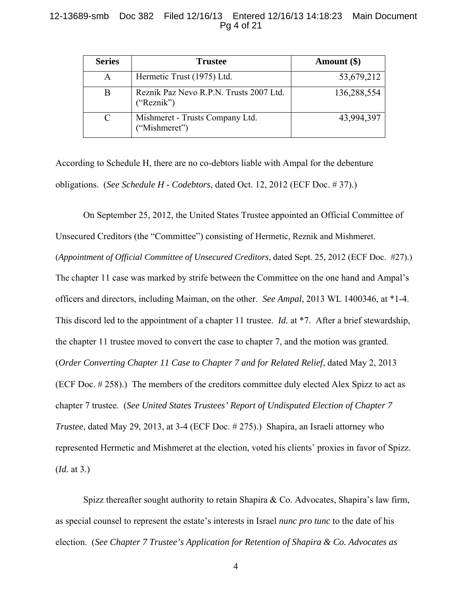# 12-13689-smb Doc 382 Filed 12/16/13 Entered 12/16/13 14:18:23 Main Document Pg 4 of 21

| <b>Series</b> | <b>Trustee</b>                                        | Amount $(\$)$ |
|---------------|-------------------------------------------------------|---------------|
| A             | Hermetic Trust (1975) Ltd.                            | 53,679,212    |
| В             | Reznik Paz Nevo R.P.N. Trusts 2007 Ltd.<br>("Reznik") | 136,288,554   |
|               | Mishmeret - Trusts Company Ltd.<br>"Mishmeret")       | 43,994,397    |

According to Schedule H, there are no co-debtors liable with Ampal for the debenture obligations. (*See Schedule H - Codebtors*, dated Oct. 12, 2012 (ECF Doc. # 37).)

 On September 25, 2012, the United States Trustee appointed an Official Committee of Unsecured Creditors (the "Committee") consisting of Hermetic, Reznik and Mishmeret. (*Appointment of Official Committee of Unsecured Creditors*, dated Sept. 25, 2012 (ECF Doc. #27).) The chapter 11 case was marked by strife between the Committee on the one hand and Ampal's officers and directors, including Maiman, on the other. *See Ampal*, 2013 WL 1400346, at \*1-4. This discord led to the appointment of a chapter 11 trustee. *Id.* at \*7. After a brief stewardship, the chapter 11 trustee moved to convert the case to chapter 7, and the motion was granted. (*Order Converting Chapter 11 Case to Chapter 7 and for Related Relief*, dated May 2, 2013 (ECF Doc. # 258).) The members of the creditors committee duly elected Alex Spizz to act as chapter 7 trustee. (*See United States Trustees' Report of Undisputed Election of Chapter 7 Trustee*, dated May 29, 2013, at 3-4 (ECF Doc. # 275).) Shapira, an Israeli attorney who represented Hermetic and Mishmeret at the election, voted his clients' proxies in favor of Spizz. (*Id.* at 3.)

Spizz thereafter sought authority to retain Shapira & Co. Advocates, Shapira's law firm, as special counsel to represent the estate's interests in Israel *nunc pro tunc* to the date of his election. (*See Chapter 7 Trustee's Application for Retention of Shapira & Co. Advocates as*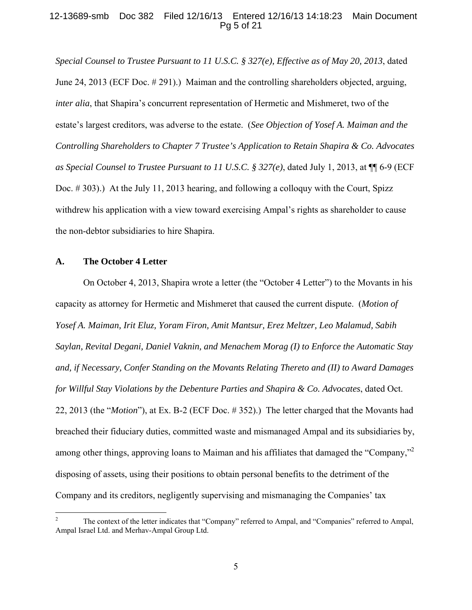# 12-13689-smb Doc 382 Filed 12/16/13 Entered 12/16/13 14:18:23 Main Document Pg 5 of 21

*Special Counsel to Trustee Pursuant to 11 U.S.C. § 327(e), Effective as of May 20, 2013*, dated June 24, 2013 (ECF Doc. # 291).) Maiman and the controlling shareholders objected, arguing, *inter alia*, that Shapira's concurrent representation of Hermetic and Mishmeret, two of the estate's largest creditors, was adverse to the estate. (*See Objection of Yosef A. Maiman and the Controlling Shareholders to Chapter 7 Trustee's Application to Retain Shapira & Co. Advocates as Special Counsel to Trustee Pursuant to 11 U.S.C. § 327(e)*, dated July 1, 2013, at ¶¶ 6-9 (ECF Doc. # 303).) At the July 11, 2013 hearing, and following a colloquy with the Court, Spizz withdrew his application with a view toward exercising Ampal's rights as shareholder to cause the non-debtor subsidiaries to hire Shapira.

#### **A. The October 4 Letter**

1

 On October 4, 2013, Shapira wrote a letter (the "October 4 Letter") to the Movants in his capacity as attorney for Hermetic and Mishmeret that caused the current dispute. (*Motion of Yosef A. Maiman, Irit Eluz, Yoram Firon, Amit Mantsur, Erez Meltzer, Leo Malamud, Sabih Saylan, Revital Degani, Daniel Vaknin, and Menachem Morag (I) to Enforce the Automatic Stay and, if Necessary, Confer Standing on the Movants Relating Thereto and (II) to Award Damages for Willful Stay Violations by the Debenture Parties and Shapira & Co. Advocates*, dated Oct. 22, 2013 (the "*Motion*"), at Ex. B-2 (ECF Doc. # 352).) The letter charged that the Movants had breached their fiduciary duties, committed waste and mismanaged Ampal and its subsidiaries by, among other things, approving loans to Maiman and his affiliates that damaged the "Company," disposing of assets, using their positions to obtain personal benefits to the detriment of the Company and its creditors, negligently supervising and mismanaging the Companies' tax

<sup>2</sup> The context of the letter indicates that "Company" referred to Ampal, and "Companies" referred to Ampal, Ampal Israel Ltd. and Merhav-Ampal Group Ltd.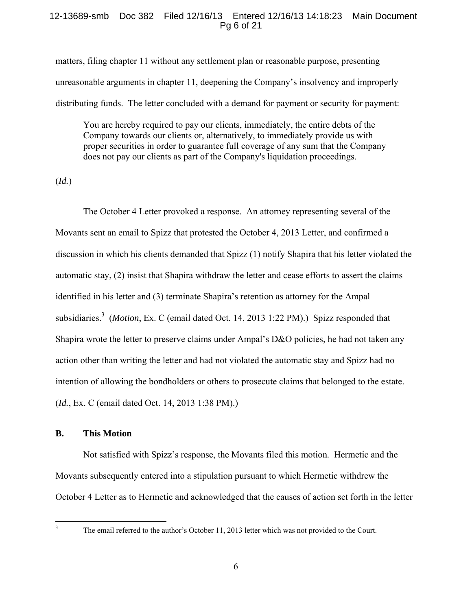## 12-13689-smb Doc 382 Filed 12/16/13 Entered 12/16/13 14:18:23 Main Document Pg 6 of 21

matters, filing chapter 11 without any settlement plan or reasonable purpose, presenting unreasonable arguments in chapter 11, deepening the Company's insolvency and improperly distributing funds. The letter concluded with a demand for payment or security for payment:

You are hereby required to pay our clients, immediately, the entire debts of the Company towards our clients or, alternatively, to immediately provide us with proper securities in order to guarantee full coverage of any sum that the Company does not pay our clients as part of the Company's liquidation proceedings.

(*Id.*)

 The October 4 Letter provoked a response. An attorney representing several of the Movants sent an email to Spizz that protested the October 4, 2013 Letter, and confirmed a discussion in which his clients demanded that Spizz (1) notify Shapira that his letter violated the automatic stay, (2) insist that Shapira withdraw the letter and cease efforts to assert the claims identified in his letter and (3) terminate Shapira's retention as attorney for the Ampal subsidiaries.<sup>3</sup> (*Motion*, Ex. C (email dated Oct. 14, 2013 1:22 PM).) Spizz responded that Shapira wrote the letter to preserve claims under Ampal's D&O policies, he had not taken any action other than writing the letter and had not violated the automatic stay and Spizz had no intention of allowing the bondholders or others to prosecute claims that belonged to the estate. (*Id.*, Ex. C (email dated Oct. 14, 2013 1:38 PM).)

# **B. This Motion**

 Not satisfied with Spizz's response, the Movants filed this motion*.* Hermetic and the Movants subsequently entered into a stipulation pursuant to which Hermetic withdrew the October 4 Letter as to Hermetic and acknowledged that the causes of action set forth in the letter

 $\frac{1}{3}$ 

The email referred to the author's October 11, 2013 letter which was not provided to the Court.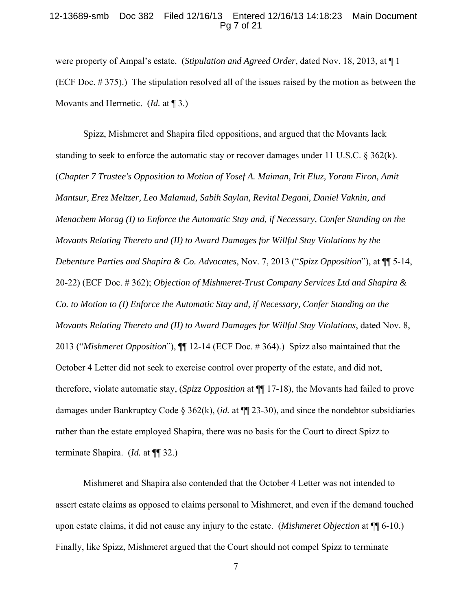### 12-13689-smb Doc 382 Filed 12/16/13 Entered 12/16/13 14:18:23 Main Document Pg 7 of 21

were property of Ampal's estate. (*Stipulation and Agreed Order*, dated Nov. 18, 2013, at ¶ 1 (ECF Doc. # 375).) The stipulation resolved all of the issues raised by the motion as between the Movants and Hermetic. (*Id.* at ¶ 3.)

 Spizz, Mishmeret and Shapira filed oppositions, and argued that the Movants lack standing to seek to enforce the automatic stay or recover damages under 11 U.S.C.  $\S 362(k)$ . (*Chapter 7 Trustee's Opposition to Motion of Yosef A. Maiman, Irit Eluz, Yoram Firon, Amit Mantsur, Erez Meltzer, Leo Malamud, Sabih Saylan, Revital Degani, Daniel Vaknin, and Menachem Morag (I) to Enforce the Automatic Stay and, if Necessary, Confer Standing on the Movants Relating Thereto and (II) to Award Damages for Willful Stay Violations by the Debenture Parties and Shapira & Co. Advocates*, Nov. 7, 2013 ("*Spizz Opposition*"), at ¶¶ 5-14, 20-22) (ECF Doc. # 362); *Objection of Mishmeret-Trust Company Services Ltd and Shapira & Co. to Motion to (I) Enforce the Automatic Stay and, if Necessary, Confer Standing on the Movants Relating Thereto and (II) to Award Damages for Willful Stay Violations*, dated Nov. 8, 2013 ("*Mishmeret Opposition*"), ¶¶ 12-14 (ECF Doc. # 364).) Spizz also maintained that the October 4 Letter did not seek to exercise control over property of the estate, and did not, therefore, violate automatic stay, (*Spizz Opposition* at ¶¶ 17-18), the Movants had failed to prove damages under Bankruptcy Code § 362(k), (*id.* at ¶¶ 23-30), and since the nondebtor subsidiaries rather than the estate employed Shapira, there was no basis for the Court to direct Spizz to terminate Shapira. (*Id.* at ¶¶ 32.)

 Mishmeret and Shapira also contended that the October 4 Letter was not intended to assert estate claims as opposed to claims personal to Mishmeret, and even if the demand touched upon estate claims, it did not cause any injury to the estate. (*Mishmeret Objection* at ¶¶ 6-10.) Finally, like Spizz, Mishmeret argued that the Court should not compel Spizz to terminate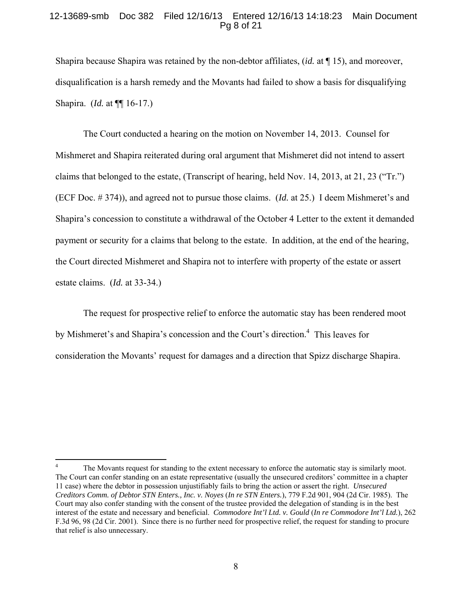#### 12-13689-smb Doc 382 Filed 12/16/13 Entered 12/16/13 14:18:23 Main Document Pg 8 of 21

Shapira because Shapira was retained by the non-debtor affiliates, (*id.* at ¶ 15), and moreover, disqualification is a harsh remedy and the Movants had failed to show a basis for disqualifying Shapira. (*Id.* at ¶¶ 16-17.)

 The Court conducted a hearing on the motion on November 14, 2013. Counsel for Mishmeret and Shapira reiterated during oral argument that Mishmeret did not intend to assert claims that belonged to the estate, (Transcript of hearing, held Nov. 14, 2013, at 21, 23 ("Tr.") (ECF Doc. # 374)), and agreed not to pursue those claims. (*Id.* at 25.) I deem Mishmeret's and Shapira's concession to constitute a withdrawal of the October 4 Letter to the extent it demanded payment or security for a claims that belong to the estate. In addition, at the end of the hearing, the Court directed Mishmeret and Shapira not to interfere with property of the estate or assert estate claims. (*Id.* at 33-34.)

 The request for prospective relief to enforce the automatic stay has been rendered moot by Mishmeret's and Shapira's concession and the Court's direction.<sup>4</sup> This leaves for consideration the Movants' request for damages and a direction that Spizz discharge Shapira.

 $\overline{a}$ 

<sup>4</sup> The Movants request for standing to the extent necessary to enforce the automatic stay is similarly moot. The Court can confer standing on an estate representative (usually the unsecured creditors' committee in a chapter 11 case) where the debtor in possession unjustifiably fails to bring the action or assert the right. *Unsecured Creditors Comm. of Debtor STN Enters., Inc. v. Noyes* (*In re STN Enters.*), 779 F.2d 901, 904 (2d Cir. 1985). The Court may also confer standing with the consent of the trustee provided the delegation of standing is in the best interest of the estate and necessary and beneficial. *Commodore Int'l Ltd. v. Gould* (*In re Commodore Int'l Ltd.*), 262 F.3d 96, 98 (2d Cir. 2001). Since there is no further need for prospective relief, the request for standing to procure that relief is also unnecessary.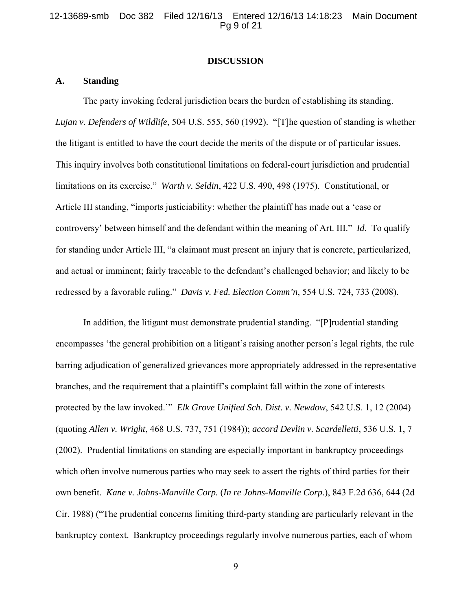#### 12-13689-smb Doc 382 Filed 12/16/13 Entered 12/16/13 14:18:23 Main Document Pg 9 of 21

#### **DISCUSSION**

# **A. Standing**

 The party invoking federal jurisdiction bears the burden of establishing its standing. *Lujan v. Defenders of Wildlife*, 504 U.S. 555, 560 (1992). "[T]he question of standing is whether the litigant is entitled to have the court decide the merits of the dispute or of particular issues. This inquiry involves both constitutional limitations on federal-court jurisdiction and prudential limitations on its exercise." *Warth v. Seldin*, 422 U.S. 490, 498 (1975). Constitutional, or Article III standing, "imports justiciability: whether the plaintiff has made out a 'case or controversy' between himself and the defendant within the meaning of Art. III." *Id.* To qualify for standing under Article III, "a claimant must present an injury that is concrete, particularized, and actual or imminent; fairly traceable to the defendant's challenged behavior; and likely to be redressed by a favorable ruling." *Davis v. Fed. Election Comm'n*, 554 U.S. 724, 733 (2008).

 In addition, the litigant must demonstrate prudential standing. "[P]rudential standing encompasses 'the general prohibition on a litigant's raising another person's legal rights, the rule barring adjudication of generalized grievances more appropriately addressed in the representative branches, and the requirement that a plaintiff's complaint fall within the zone of interests protected by the law invoked.'" *Elk Grove Unified Sch. Dist. v. Newdow*, 542 U.S. 1, 12 (2004) (quoting *Allen v. Wright*, 468 U.S. 737, 751 (1984)); *accord Devlin v. Scardelletti*, 536 U.S. 1, 7 (2002). Prudential limitations on standing are especially important in bankruptcy proceedings which often involve numerous parties who may seek to assert the rights of third parties for their own benefit. *Kane v. Johns-Manville Corp.* (*In re Johns-Manville Corp.*), 843 F.2d 636, 644 (2d Cir. 1988) ("The prudential concerns limiting third-party standing are particularly relevant in the bankruptcy context. Bankruptcy proceedings regularly involve numerous parties, each of whom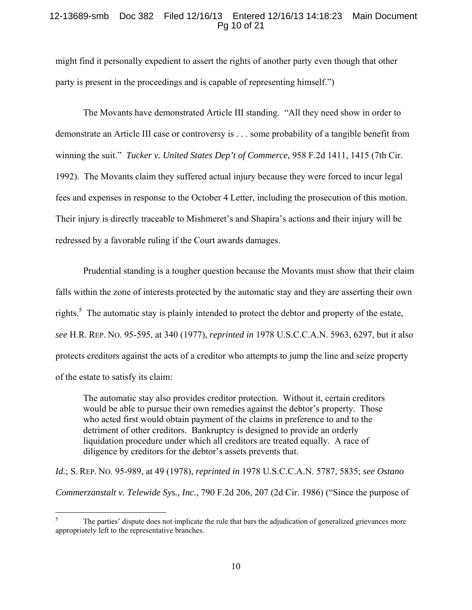# 12-13689-smb Doc 382 Filed 12/16/13 Entered 12/16/13 14:18:23 Main Document Pg 10 of 21

might find it personally expedient to assert the rights of another party even though that other party is present in the proceedings and is capable of representing himself.")

 The Movants have demonstrated Article III standing. "All they need show in order to demonstrate an Article III case or controversy is . . . some probability of a tangible benefit from winning the suit." *Tucker v. United States Dep't of Commerce*, 958 F.2d 1411, 1415 (7th Cir. 1992). The Movants claim they suffered actual injury because they were forced to incur legal fees and expenses in response to the October 4 Letter, including the prosecution of this motion. Their injury is directly traceable to Mishmeret's and Shapira's actions and their injury will be redressed by a favorable ruling if the Court awards damages.

 Prudential standing is a tougher question because the Movants must show that their claim falls within the zone of interests protected by the automatic stay and they are asserting their own rights.<sup>5</sup> The automatic stay is plainly intended to protect the debtor and property of the estate, *see* H.R. REP. NO. 95-595, at 340 (1977), *reprinted in* 1978 U.S.C.C.A.N. 5963, 6297, but it also protects creditors against the acts of a creditor who attempts to jump the line and seize property of the estate to satisfy its claim:

The automatic stay also provides creditor protection. Without it, certain creditors would be able to pursue their own remedies against the debtor's property. Those who acted first would obtain payment of the claims in preference to and to the detriment of other creditors. Bankruptcy is designed to provide an orderly liquidation procedure under which all creditors are treated equally. A race of diligence by creditors for the debtor's assets prevents that.

*Id.*; S. REP. NO. 95-989, at 49 (1978), *reprinted in* 1978 U.S.C.C.A.N. 5787, 5835; *see Ostano Commerzanstalt v. Telewide Sys., Inc.*, 790 F.2d 206, 207 (2d Cir. 1986) ("Since the purpose of

 $\overline{a}$ 

<sup>5</sup> The parties' dispute does not implicate the rule that bars the adjudication of generalized grievances more appropriately left to the representative branches.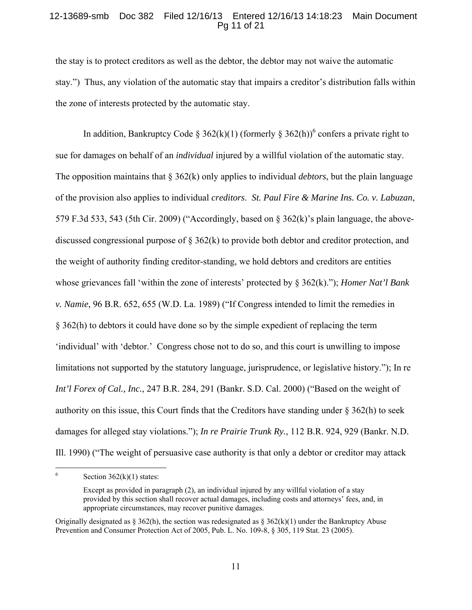# 12-13689-smb Doc 382 Filed 12/16/13 Entered 12/16/13 14:18:23 Main Document Pg 11 of 21

the stay is to protect creditors as well as the debtor, the debtor may not waive the automatic stay.") Thus, any violation of the automatic stay that impairs a creditor's distribution falls within the zone of interests protected by the automatic stay.

In addition, Bankruptcy Code § 362(k)(1) (formerly § 362(h))<sup>6</sup> confers a private right to sue for damages on behalf of an *individual* injured by a willful violation of the automatic stay. The opposition maintains that § 362(k) only applies to individual *debtors*, but the plain language of the provision also applies to individual *creditors*. *St. Paul Fire & Marine Ins. Co. v. Labuzan*, 579 F.3d 533, 543 (5th Cir. 2009) ("Accordingly, based on § 362(k)'s plain language, the abovediscussed congressional purpose of § 362(k) to provide both debtor and creditor protection, and the weight of authority finding creditor-standing, we hold debtors and creditors are entities whose grievances fall 'within the zone of interests' protected by § 362(k)."); *Homer Nat'l Bank v. Namie*, 96 B.R. 652, 655 (W.D. La. 1989) ("If Congress intended to limit the remedies in § 362(h) to debtors it could have done so by the simple expedient of replacing the term 'individual' with 'debtor.' Congress chose not to do so, and this court is unwilling to impose limitations not supported by the statutory language, jurisprudence, or legislative history."); In re *Int'l Forex of Cal., Inc.*, 247 B.R. 284, 291 (Bankr. S.D. Cal. 2000) ("Based on the weight of authority on this issue, this Court finds that the Creditors have standing under  $\S 362(h)$  to seek damages for alleged stay violations."); *In re Prairie Trunk Ry.*, 112 B.R. 924, 929 (Bankr. N.D. Ill. 1990) ("The weight of persuasive case authority is that only a debtor or creditor may attack

 $\frac{1}{6}$ Section  $362(k)(1)$  states:

Except as provided in paragraph (2), an individual injured by any willful violation of a stay provided by this section shall recover actual damages, including costs and attorneys' fees, and, in appropriate circumstances, may recover punitive damages.

Originally designated as  $\S 362(h)$ , the section was redesignated as  $\S 362(k)(1)$  under the Bankruptcy Abuse Prevention and Consumer Protection Act of 2005, Pub. L. No. 109-8, § 305, 119 Stat. 23 (2005).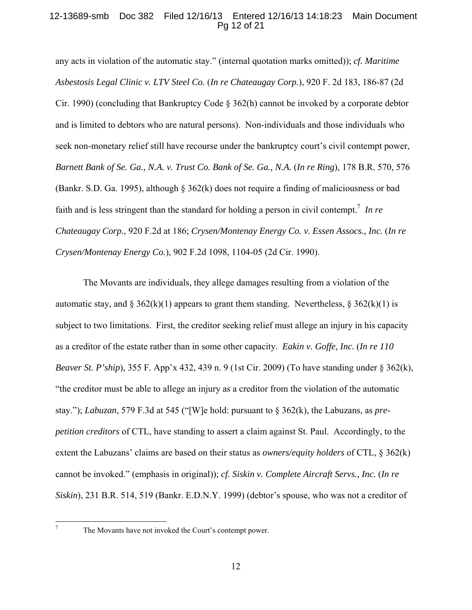# 12-13689-smb Doc 382 Filed 12/16/13 Entered 12/16/13 14:18:23 Main Document Pg 12 of 21

any acts in violation of the automatic stay." (internal quotation marks omitted)); *cf. Maritime Asbestosis Legal Clinic v. LTV Steel Co.* (*In re Chateaugay Corp.*), 920 F. 2d 183, 186-87 (2d Cir. 1990) (concluding that Bankruptcy Code § 362(h) cannot be invoked by a corporate debtor and is limited to debtors who are natural persons). Non-individuals and those individuals who seek non-monetary relief still have recourse under the bankruptcy court's civil contempt power, *Barnett Bank of Se. Ga., N.A. v. Trust Co. Bank of Se. Ga., N.A.* (*In re Ring*), 178 B.R. 570, 576 (Bankr. S.D. Ga. 1995), although § 362(k) does not require a finding of maliciousness or bad faith and is less stringent than the standard for holding a person in civil contempt.<sup>7</sup> In re *Chateaugay Corp.*, 920 F.2d at 186; *Crysen/Montenay Energy Co. v. Essen Assocs., Inc.* (*In re Crysen/Montenay Energy Co.*), 902 F.2d 1098, 1104-05 (2d Cir. 1990).

 The Movants are individuals, they allege damages resulting from a violation of the automatic stay, and § 362(k)(1) appears to grant them standing. Nevertheless, § 362(k)(1) is subject to two limitations. First, the creditor seeking relief must allege an injury in his capacity as a creditor of the estate rather than in some other capacity. *Eakin v. Goffe, Inc.* (*In re 110 Beaver St. P'ship*), 355 F. App'x 432, 439 n. 9 (1st Cir. 2009) (To have standing under § 362(k), "the creditor must be able to allege an injury as a creditor from the violation of the automatic stay."); *Labuzan*, 579 F.3d at 545 ("[W]e hold: pursuant to § 362(k), the Labuzans, as *prepetition creditors* of CTL, have standing to assert a claim against St. Paul. Accordingly, to the extent the Labuzans' claims are based on their status as *owners/equity holders* of CTL, § 362(k) cannot be invoked." (emphasis in original)); *cf. Siskin v. Complete Aircraft Servs., Inc.* (*In re Siskin*), 231 B.R. 514, 519 (Bankr. E.D.N.Y. 1999) (debtor's spouse, who was not a creditor of

 $\frac{1}{7}$ 

The Movants have not invoked the Court's contempt power.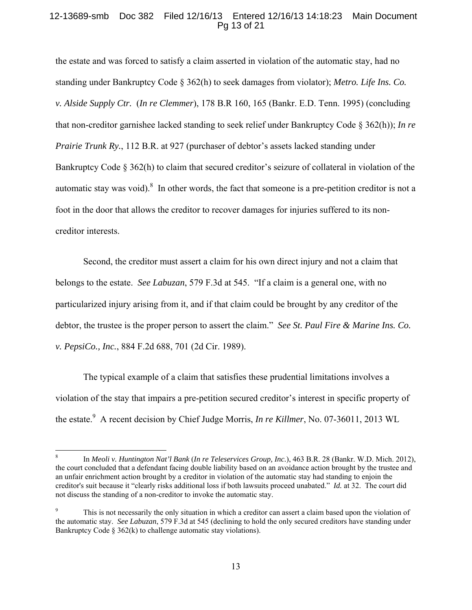# 12-13689-smb Doc 382 Filed 12/16/13 Entered 12/16/13 14:18:23 Main Document Pg 13 of 21

the estate and was forced to satisfy a claim asserted in violation of the automatic stay, had no standing under Bankruptcy Code § 362(h) to seek damages from violator); *Metro. Life Ins. Co. v. Alside Supply Ctr.* (*In re Clemmer*), 178 B.R 160, 165 (Bankr. E.D. Tenn. 1995) (concluding that non-creditor garnishee lacked standing to seek relief under Bankruptcy Code § 362(h)); *In re Prairie Trunk Ry.*, 112 B.R. at 927 (purchaser of debtor's assets lacked standing under Bankruptcy Code § 362(h) to claim that secured creditor's seizure of collateral in violation of the automatic stay was void). $8\,$  In other words, the fact that someone is a pre-petition creditor is not a foot in the door that allows the creditor to recover damages for injuries suffered to its noncreditor interests.

 Second, the creditor must assert a claim for his own direct injury and not a claim that belongs to the estate. *See Labuzan*, 579 F.3d at 545. "If a claim is a general one, with no particularized injury arising from it, and if that claim could be brought by any creditor of the debtor, the trustee is the proper person to assert the claim." *See St. Paul Fire & Marine Ins. Co. v. PepsiCo., Inc.*, 884 F.2d 688, 701 (2d Cir. 1989).

 The typical example of a claim that satisfies these prudential limitations involves a violation of the stay that impairs a pre-petition secured creditor's interest in specific property of the estate.<sup>9</sup> A recent decision by Chief Judge Morris, *In re Killmer*, No. 07-36011, 2013 WL

 $\overline{a}$ 

<sup>8</sup> In *Meoli v. Huntington Nat'l Bank* (*In re Teleservices Group, Inc.*), 463 B.R. 28 (Bankr. W.D. Mich. 2012), the court concluded that a defendant facing double liability based on an avoidance action brought by the trustee and an unfair enrichment action brought by a creditor in violation of the automatic stay had standing to enjoin the creditor's suit because it "clearly risks additional loss if both lawsuits proceed unabated." *Id.* at 32. The court did not discuss the standing of a non-creditor to invoke the automatic stay.

<sup>9</sup> This is not necessarily the only situation in which a creditor can assert a claim based upon the violation of the automatic stay. *See Labuzan*, 579 F.3d at 545 (declining to hold the only secured creditors have standing under Bankruptcy Code § 362(k) to challenge automatic stay violations).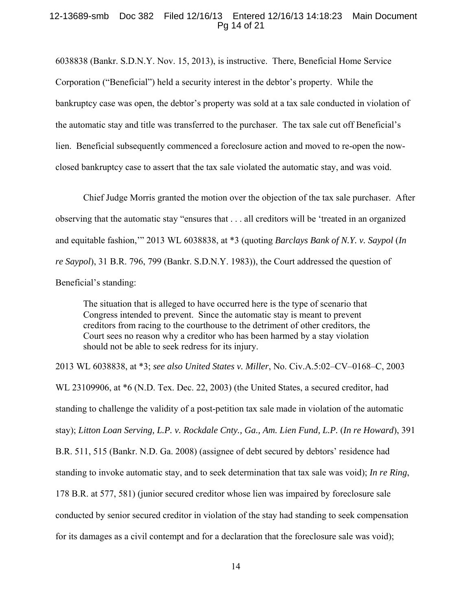### 12-13689-smb Doc 382 Filed 12/16/13 Entered 12/16/13 14:18:23 Main Document Pg 14 of 21

6038838 (Bankr. S.D.N.Y. Nov. 15, 2013), is instructive. There, Beneficial Home Service Corporation ("Beneficial") held a security interest in the debtor's property. While the bankruptcy case was open, the debtor's property was sold at a tax sale conducted in violation of the automatic stay and title was transferred to the purchaser. The tax sale cut off Beneficial's lien. Beneficial subsequently commenced a foreclosure action and moved to re-open the nowclosed bankruptcy case to assert that the tax sale violated the automatic stay, and was void.

 Chief Judge Morris granted the motion over the objection of the tax sale purchaser. After observing that the automatic stay "ensures that . . . all creditors will be 'treated in an organized and equitable fashion,'" 2013 WL 6038838, at \*3 (quoting *Barclays Bank of N.Y. v. Saypol* (*In re Saypol*), 31 B.R. 796, 799 (Bankr. S.D.N.Y. 1983)), the Court addressed the question of Beneficial's standing:

The situation that is alleged to have occurred here is the type of scenario that Congress intended to prevent. Since the automatic stay is meant to prevent creditors from racing to the courthouse to the detriment of other creditors, the Court sees no reason why a creditor who has been harmed by a stay violation should not be able to seek redress for its injury.

2013 WL 6038838, at \*3; *see also United States v. Miller*, No. Civ.A.5:02–CV–0168–C, 2003 WL 23109906, at \*6 (N.D. Tex. Dec. 22, 2003) (the United States, a secured creditor, had standing to challenge the validity of a post-petition tax sale made in violation of the automatic stay); *Litton Loan Serving, L.P. v. Rockdale Cnty., Ga., Am. Lien Fund, L.P. (In re Howard), 391* B.R. 511, 515 (Bankr. N.D. Ga. 2008) (assignee of debt secured by debtors' residence had standing to invoke automatic stay, and to seek determination that tax sale was void); *In re Ring*, 178 B.R. at 577, 581) (junior secured creditor whose lien was impaired by foreclosure sale conducted by senior secured creditor in violation of the stay had standing to seek compensation for its damages as a civil contempt and for a declaration that the foreclosure sale was void);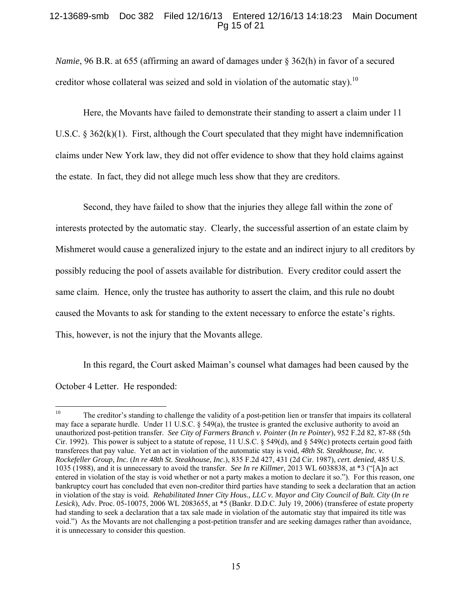# 12-13689-smb Doc 382 Filed 12/16/13 Entered 12/16/13 14:18:23 Main Document Pg 15 of 21

*Namie*, 96 B.R. at 655 (affirming an award of damages under § 362(h) in favor of a secured creditor whose collateral was seized and sold in violation of the automatic stay).<sup>10</sup>

 Here, the Movants have failed to demonstrate their standing to assert a claim under 11 U.S.C.  $\S 362(k)(1)$ . First, although the Court speculated that they might have indemnification claims under New York law, they did not offer evidence to show that they hold claims against the estate. In fact, they did not allege much less show that they are creditors.

 Second, they have failed to show that the injuries they allege fall within the zone of interests protected by the automatic stay. Clearly, the successful assertion of an estate claim by Mishmeret would cause a generalized injury to the estate and an indirect injury to all creditors by possibly reducing the pool of assets available for distribution. Every creditor could assert the same claim. Hence, only the trustee has authority to assert the claim, and this rule no doubt caused the Movants to ask for standing to the extent necessary to enforce the estate's rights. This, however, is not the injury that the Movants allege.

 In this regard, the Court asked Maiman's counsel what damages had been caused by the October 4 Letter. He responded:

 $10\,$ 10 The creditor's standing to challenge the validity of a post-petition lien or transfer that impairs its collateral may face a separate hurdle. Under 11 U.S.C. § 549(a), the trustee is granted the exclusive authority to avoid an unauthorized post-petition transfer. *See City of Farmers Branch v. Pointer* (*In re Pointer*), 952 F.2d 82, 87-88 (5th Cir. 1992). This power is subject to a statute of repose, 11 U.S.C. § 549(d), and § 549(c) protects certain good faith transferees that pay value. Yet an act in violation of the automatic stay is void, *48th St. Steakhouse, Inc. v. Rockefeller Group, Inc.* (*In re 48th St. Steakhouse, Inc.*), 835 F.2d 427, 431 (2d Cir. 1987), *cert. denied*, 485 U.S. 1035 (1988), and it is unnecessary to avoid the transfer. *See In re Killmer*, 2013 WL 6038838, at \*3 ("[A]n act entered in violation of the stay is void whether or not a party makes a motion to declare it so."). For this reason, one bankruptcy court has concluded that even non-creditor third parties have standing to seek a declaration that an action in violation of the stay is void. *Rehabilitated Inner City Hous., LLC v. Mayor and City Council of Balt. City (In re Lesick*), Adv. Proc. 05-10075, 2006 WL 2083655, at \*5 (Bankr. D.D.C. July 19, 2006) (transferee of estate property had standing to seek a declaration that a tax sale made in violation of the automatic stay that impaired its title was void.") As the Movants are not challenging a post-petition transfer and are seeking damages rather than avoidance, it is unnecessary to consider this question.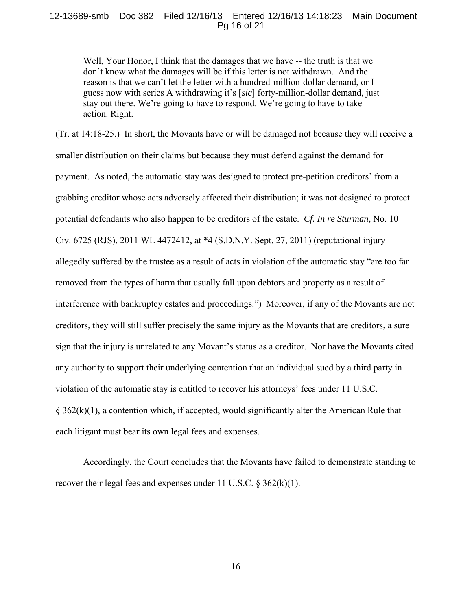#### 12-13689-smb Doc 382 Filed 12/16/13 Entered 12/16/13 14:18:23 Main Document Pg 16 of 21

Well, Your Honor, I think that the damages that we have -- the truth is that we don't know what the damages will be if this letter is not withdrawn. And the reason is that we can't let the letter with a hundred-million-dollar demand, or I guess now with series A withdrawing it's [*sic*] forty-million-dollar demand, just stay out there. We're going to have to respond. We're going to have to take action. Right.

(Tr. at 14:18-25.) In short, the Movants have or will be damaged not because they will receive a smaller distribution on their claims but because they must defend against the demand for payment. As noted, the automatic stay was designed to protect pre-petition creditors' from a grabbing creditor whose acts adversely affected their distribution; it was not designed to protect potential defendants who also happen to be creditors of the estate. *Cf. In re Sturman*, No. 10 Civ. 6725 (RJS), 2011 WL 4472412, at \*4 (S.D.N.Y. Sept. 27, 2011) (reputational injury allegedly suffered by the trustee as a result of acts in violation of the automatic stay "are too far removed from the types of harm that usually fall upon debtors and property as a result of interference with bankruptcy estates and proceedings.") Moreover, if any of the Movants are not creditors, they will still suffer precisely the same injury as the Movants that are creditors, a sure sign that the injury is unrelated to any Movant's status as a creditor. Nor have the Movants cited any authority to support their underlying contention that an individual sued by a third party in violation of the automatic stay is entitled to recover his attorneys' fees under 11 U.S.C.  $\S 362(k)(1)$ , a contention which, if accepted, would significantly alter the American Rule that each litigant must bear its own legal fees and expenses.

 Accordingly, the Court concludes that the Movants have failed to demonstrate standing to recover their legal fees and expenses under 11 U.S.C.  $\S 362(k)(1)$ .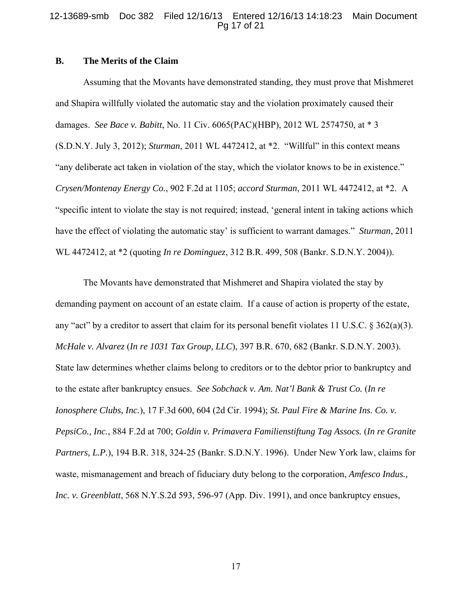#### 12-13689-smb Doc 382 Filed 12/16/13 Entered 12/16/13 14:18:23 Main Document Pg 17 of 21

# **B. The Merits of the Claim**

 Assuming that the Movants have demonstrated standing, they must prove that Mishmeret and Shapira willfully violated the automatic stay and the violation proximately caused their damages. *See Bace v. Babitt*, No. 11 Civ. 6065(PAC)(HBP), 2012 WL 2574750, at \* 3 (S.D.N.Y. July 3, 2012); *Sturman*, 2011 WL 4472412, at \*2. "Willful" in this context means "any deliberate act taken in violation of the stay, which the violator knows to be in existence." *Crysen/Montenay Energy Co.*, 902 F.2d at 1105; *accord Sturman*, 2011 WL 4472412, at \*2. A "specific intent to violate the stay is not required; instead, 'general intent in taking actions which have the effect of violating the automatic stay' is sufficient to warrant damages." *Sturman*, 2011 WL 4472412, at \*2 (quoting *In re Dominguez*, 312 B.R. 499, 508 (Bankr. S.D.N.Y. 2004)).

 The Movants have demonstrated that Mishmeret and Shapira violated the stay by demanding payment on account of an estate claim. If a cause of action is property of the estate, any "act" by a creditor to assert that claim for its personal benefit violates 11 U.S.C. § 362(a)(3). *McHale v. Alvarez* (*In re 1031 Tax Group, LLC*), 397 B.R. 670, 682 (Bankr. S.D.N.Y. 2003). State law determines whether claims belong to creditors or to the debtor prior to bankruptcy and to the estate after bankruptcy ensues. *See Sobchack v. Am. Nat'l Bank & Trust Co.* (*In re Ionosphere Clubs, Inc.*), 17 F.3d 600, 604 (2d Cir. 1994); *St. Paul Fire & Marine Ins. Co. v. PepsiCo., Inc.*, 884 F.2d at 700; *Goldin v. Primavera Familienstiftung Tag Assocs.* (*In re Granite Partners, L.P.*), 194 B.R. 318, 324-25 (Bankr. S.D.N.Y. 1996). Under New York law, claims for waste, mismanagement and breach of fiduciary duty belong to the corporation, *Amfesco Indus., Inc. v. Greenblatt*, 568 N.Y.S.2d 593, 596-97 (App. Div. 1991), and once bankruptcy ensues,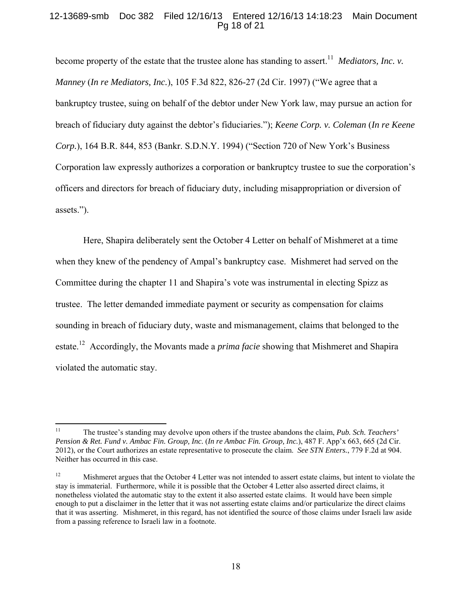# 12-13689-smb Doc 382 Filed 12/16/13 Entered 12/16/13 14:18:23 Main Document Pg 18 of 21

become property of the estate that the trustee alone has standing to assert.<sup>11</sup> *Mediators, Inc. v. Manney* (*In re Mediators, Inc.*), 105 F.3d 822, 826-27 (2d Cir. 1997) ("We agree that a bankruptcy trustee, suing on behalf of the debtor under New York law, may pursue an action for breach of fiduciary duty against the debtor's fiduciaries."); *Keene Corp. v. Coleman* (*In re Keene Corp.*), 164 B.R. 844, 853 (Bankr. S.D.N.Y. 1994) ("Section 720 of New York's Business Corporation law expressly authorizes a corporation or bankruptcy trustee to sue the corporation's officers and directors for breach of fiduciary duty, including misappropriation or diversion of assets.").

Here, Shapira deliberately sent the October 4 Letter on behalf of Mishmeret at a time when they knew of the pendency of Ampal's bankruptcy case. Mishmeret had served on the Committee during the chapter 11 and Shapira's vote was instrumental in electing Spizz as trustee. The letter demanded immediate payment or security as compensation for claims sounding in breach of fiduciary duty, waste and mismanagement, claims that belonged to the estate.12 Accordingly, the Movants made a *prima facie* showing that Mishmeret and Shapira violated the automatic stay.

 $11 -$ 11 The trustee's standing may devolve upon others if the trustee abandons the claim, *Pub. Sch. Teachers' Pension & Ret. Fund v. Ambac Fin. Group, Inc.* (*In re Ambac Fin. Group, Inc.*), 487 F. App'x 663, 665 (2d Cir. 2012), or the Court authorizes an estate representative to prosecute the claim. *See STN Enters.*, 779 F.2d at 904. Neither has occurred in this case.

<sup>&</sup>lt;sup>12</sup> Mishmeret argues that the October 4 Letter was not intended to assert estate claims, but intent to violate the stay is immaterial. Furthermore, while it is possible that the October 4 Letter also asserted direct claims, it nonetheless violated the automatic stay to the extent it also asserted estate claims. It would have been simple enough to put a disclaimer in the letter that it was not asserting estate claims and/or particularize the direct claims that it was asserting. Mishmeret, in this regard, has not identified the source of those claims under Israeli law aside from a passing reference to Israeli law in a footnote.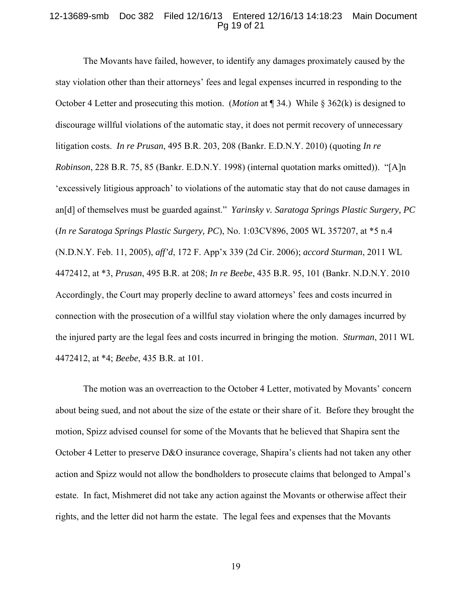#### 12-13689-smb Doc 382 Filed 12/16/13 Entered 12/16/13 14:18:23 Main Document Pg 19 of 21

 The Movants have failed, however, to identify any damages proximately caused by the stay violation other than their attorneys' fees and legal expenses incurred in responding to the October 4 Letter and prosecuting this motion. (*Motion* at ¶ 34.) While § 362(k) is designed to discourage willful violations of the automatic stay, it does not permit recovery of unnecessary litigation costs. *In re Prusan*, 495 B.R. 203, 208 (Bankr. E.D.N.Y. 2010) (quoting *In re Robinson*, 228 B.R. 75, 85 (Bankr. E.D.N.Y. 1998) (internal quotation marks omitted)). "[A]n 'excessively litigious approach' to violations of the automatic stay that do not cause damages in an[d] of themselves must be guarded against." *Yarinsky v. Saratoga Springs Plastic Surgery, PC*  (*In re Saratoga Springs Plastic Surgery, PC*), No. 1:03CV896, 2005 WL 357207, at \*5 n.4 (N.D.N.Y. Feb. 11, 2005), *aff'd*, 172 F. App'x 339 (2d Cir. 2006); *accord Sturman*, 2011 WL 4472412, at \*3, *Prusan*, 495 B.R. at 208; *In re Beebe*, 435 B.R. 95, 101 (Bankr. N.D.N.Y. 2010 Accordingly, the Court may properly decline to award attorneys' fees and costs incurred in connection with the prosecution of a willful stay violation where the only damages incurred by the injured party are the legal fees and costs incurred in bringing the motion. *Sturman*, 2011 WL 4472412, at \*4; *Beebe*, 435 B.R. at 101.

 The motion was an overreaction to the October 4 Letter, motivated by Movants' concern about being sued, and not about the size of the estate or their share of it. Before they brought the motion, Spizz advised counsel for some of the Movants that he believed that Shapira sent the October 4 Letter to preserve D&O insurance coverage, Shapira's clients had not taken any other action and Spizz would not allow the bondholders to prosecute claims that belonged to Ampal's estate. In fact, Mishmeret did not take any action against the Movants or otherwise affect their rights, and the letter did not harm the estate. The legal fees and expenses that the Movants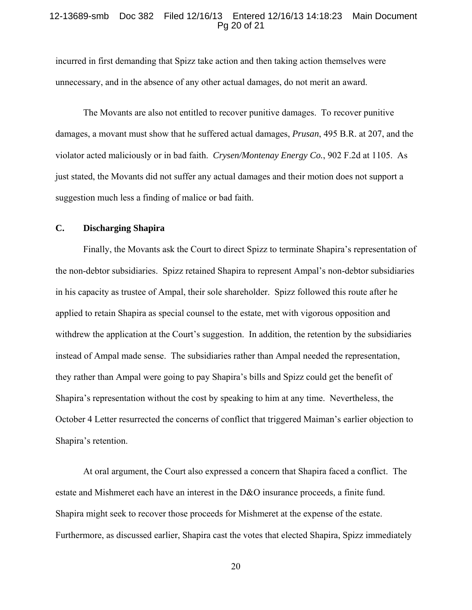#### 12-13689-smb Doc 382 Filed 12/16/13 Entered 12/16/13 14:18:23 Main Document Pg 20 of 21

incurred in first demanding that Spizz take action and then taking action themselves were unnecessary, and in the absence of any other actual damages, do not merit an award.

 The Movants are also not entitled to recover punitive damages. To recover punitive damages, a movant must show that he suffered actual damages, *Prusan*, 495 B.R. at 207, and the violator acted maliciously or in bad faith. *Crysen/Montenay Energy Co.*, 902 F.2d at 1105. As just stated, the Movants did not suffer any actual damages and their motion does not support a suggestion much less a finding of malice or bad faith.

# **C. Discharging Shapira**

 Finally, the Movants ask the Court to direct Spizz to terminate Shapira's representation of the non-debtor subsidiaries. Spizz retained Shapira to represent Ampal's non-debtor subsidiaries in his capacity as trustee of Ampal, their sole shareholder. Spizz followed this route after he applied to retain Shapira as special counsel to the estate, met with vigorous opposition and withdrew the application at the Court's suggestion. In addition, the retention by the subsidiaries instead of Ampal made sense. The subsidiaries rather than Ampal needed the representation, they rather than Ampal were going to pay Shapira's bills and Spizz could get the benefit of Shapira's representation without the cost by speaking to him at any time. Nevertheless, the October 4 Letter resurrected the concerns of conflict that triggered Maiman's earlier objection to Shapira's retention.

 At oral argument, the Court also expressed a concern that Shapira faced a conflict. The estate and Mishmeret each have an interest in the D&O insurance proceeds, a finite fund. Shapira might seek to recover those proceeds for Mishmeret at the expense of the estate. Furthermore, as discussed earlier, Shapira cast the votes that elected Shapira, Spizz immediately